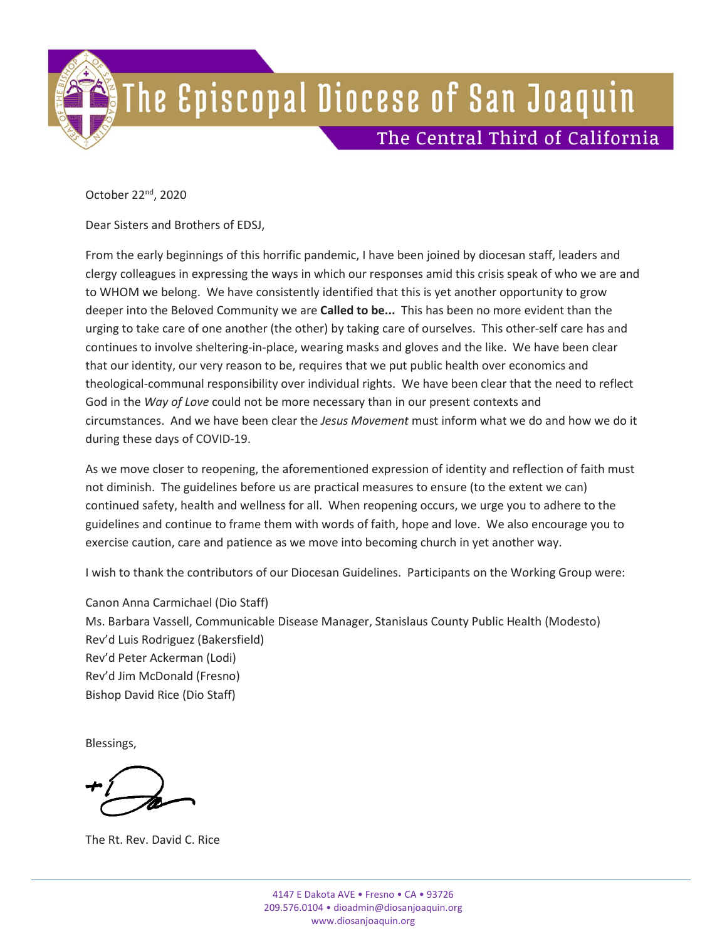October 22nd, 2020

Dear Sisters and Brothers of EDSJ,

From the early beginnings of this horrific pandemic, I have been joined by diocesan staff, leaders and clergy colleagues in expressing the ways in which our responses amid this crisis speak of who we are and to WHOM we belong. We have consistently identified that this is yet another opportunity to grow deeper into the Beloved Community we are **Called to be...** This has been no more evident than the urging to take care of one another (the other) by taking care of ourselves. This other-self care has and continues to involve sheltering-in-place, wearing masks and gloves and the like. We have been clear that our identity, our very reason to be, requires that we put public health over economics and theological-communal responsibility over individual rights. We have been clear that the need to reflect God in the *Way of Love* could not be more necessary than in our present contexts and circumstances. And we have been clear the *Jesus Movement* must inform what we do and how we do it during these days of COVID-19.

As we move closer to reopening, the aforementioned expression of identity and reflection of faith must not diminish. The guidelines before us are practical measures to ensure (to the extent we can) continued safety, health and wellness for all. When reopening occurs, we urge you to adhere to the guidelines and continue to frame them with words of faith, hope and love. We also encourage you to exercise caution, care and patience as we move into becoming church in yet another way.

I wish to thank the contributors of our Diocesan Guidelines. Participants on the Working Group were:

Canon Anna Carmichael (Dio Staff) Ms. Barbara Vassell, Communicable Disease Manager, Stanislaus County Public Health (Modesto) Rev'd Luis Rodriguez (Bakersfield) Rev'd Peter Ackerman (Lodi) Rev'd Jim McDonald (Fresno) Bishop David Rice (Dio Staff)

Blessings,

The Rt. Rev. David C. Rice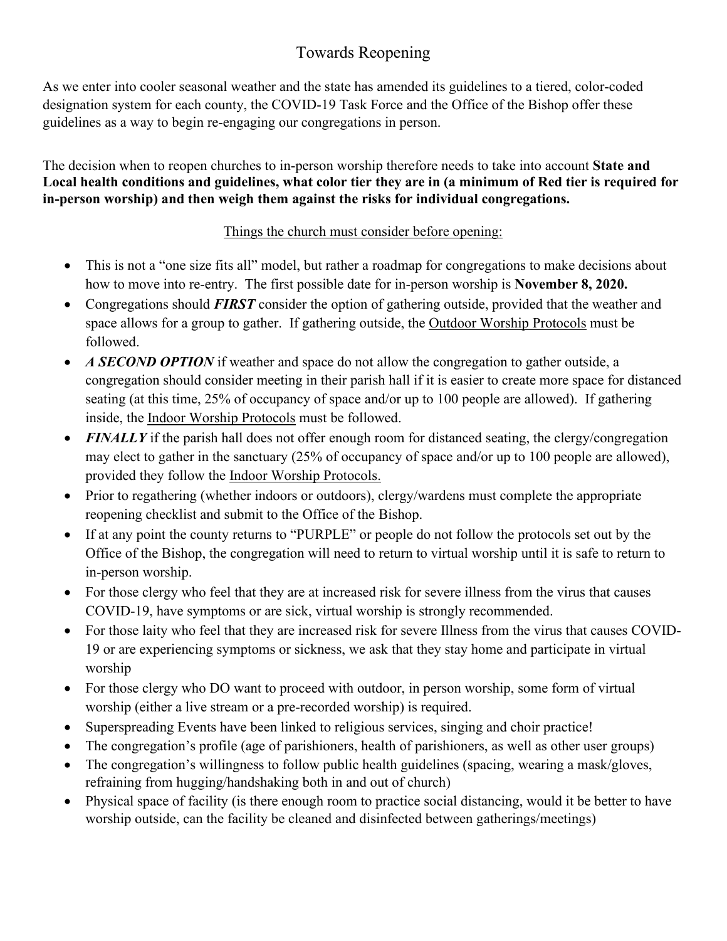# Towards Reopening

As we enter into cooler seasonal weather and the state has amended its guidelines to a tiered, color-coded designation system for each county, the COVID-19 Task Force and the Office of the Bishop offer these guidelines as a way to begin re-engaging our congregations in person.

The decision when to reopen churches to in-person worship therefore needs to take into account **State and Local health conditions and guidelines, what color tier they are in (a minimum of Red tier is required for in-person worship) and then weigh them against the risks for individual congregations.**

### Things the church must consider before opening:

- This is not a "one size fits all" model, but rather a roadmap for congregations to make decisions about how to move into re-entry. The first possible date for in-person worship is **November 8, 2020.**
- Congregations should **FIRST** consider the option of gathering outside, provided that the weather and space allows for a group to gather. If gathering outside, the Outdoor Worship Protocols must be followed.
- *A SECOND OPTION* if weather and space do not allow the congregation to gather outside, a congregation should consider meeting in their parish hall if it is easier to create more space for distanced seating (at this time, 25% of occupancy of space and/or up to 100 people are allowed). If gathering inside, the Indoor Worship Protocols must be followed.
- *FINALLY* if the parish hall does not offer enough room for distanced seating, the clergy/congregation may elect to gather in the sanctuary (25% of occupancy of space and/or up to 100 people are allowed), provided they follow the Indoor Worship Protocols.
- Prior to regathering (whether indoors or outdoors), clergy/wardens must complete the appropriate reopening checklist and submit to the Office of the Bishop.
- If at any point the county returns to "PURPLE" or people do not follow the protocols set out by the Office of the Bishop, the congregation will need to return to virtual worship until it is safe to return to in-person worship.
- For those clergy who feel that they are at increased risk for severe illness from the virus that causes COVID-19, have symptoms or are sick, virtual worship is strongly recommended.
- For those laity who feel that they are increased risk for severe Illness from the virus that causes COVID-19 or are experiencing symptoms or sickness, we ask that they stay home and participate in virtual worship
- For those clergy who DO want to proceed with outdoor, in person worship, some form of virtual worship (either a live stream or a pre-recorded worship) is required.
- Superspreading Events have been linked to religious services, singing and choir practice!
- The congregation's profile (age of parishioners, health of parishioners, as well as other user groups)
- The congregation's willingness to follow public health guidelines (spacing, wearing a mask/gloves, refraining from hugging/handshaking both in and out of church)
- Physical space of facility (is there enough room to practice social distancing, would it be better to have worship outside, can the facility be cleaned and disinfected between gatherings/meetings)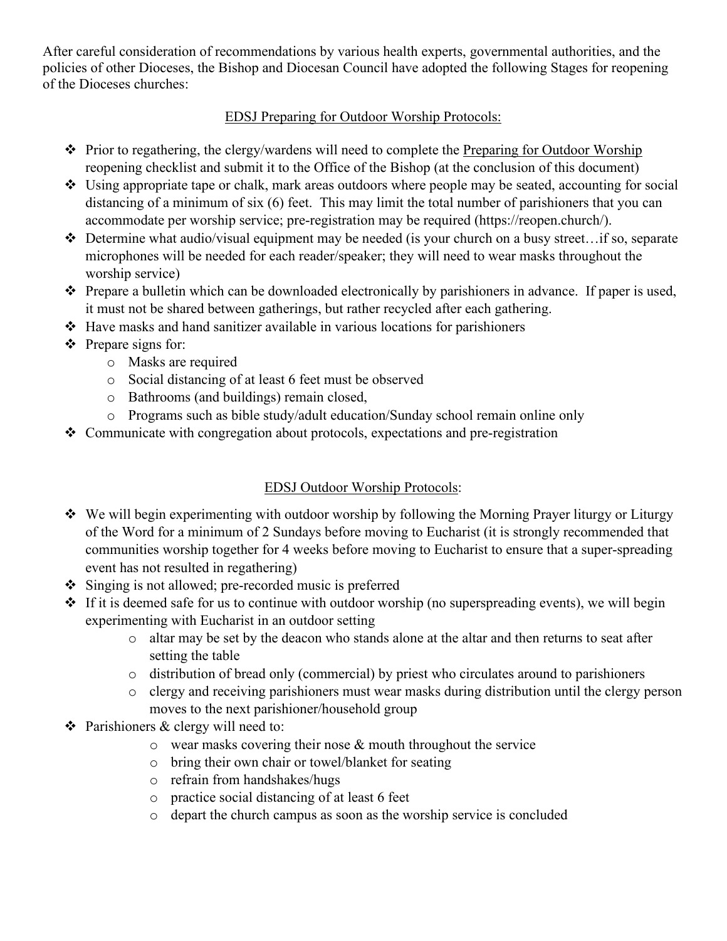After careful consideration of recommendations by various health experts, governmental authorities, and the policies of other Dioceses, the Bishop and Diocesan Council have adopted the following Stages for reopening of the Dioceses churches:

### EDSJ Preparing for Outdoor Worship Protocols:

- Prior to regathering, the clergy/wardens will need to complete the Preparing for Outdoor Worship reopening checklist and submit it to the Office of the Bishop (at the conclusion of this document)
- Using appropriate tape or chalk, mark areas outdoors where people may be seated, accounting for social distancing of a minimum of six (6) feet. This may limit the total number of parishioners that you can accommodate per worship service; pre-registration may be required (https://reopen.church/).
- $\triangle$  Determine what audio/visual equipment may be needed (is your church on a busy street...if so, separate microphones will be needed for each reader/speaker; they will need to wear masks throughout the worship service)
- \* Prepare a bulletin which can be downloaded electronically by parishioners in advance. If paper is used, it must not be shared between gatherings, but rather recycled after each gathering.
- Have masks and hand sanitizer available in various locations for parishioners
- $\triangle$  Prepare signs for:
	- o Masks are required
	- o Social distancing of at least 6 feet must be observed
	- o Bathrooms (and buildings) remain closed,
	- o Programs such as bible study/adult education/Sunday school remain online only
- \* Communicate with congregation about protocols, expectations and pre-registration

## EDSJ Outdoor Worship Protocols:

- We will begin experimenting with outdoor worship by following the Morning Prayer liturgy or Liturgy of the Word for a minimum of 2 Sundays before moving to Eucharist (it is strongly recommended that communities worship together for 4 weeks before moving to Eucharist to ensure that a super-spreading event has not resulted in regathering)
- $\div$  Singing is not allowed; pre-recorded music is preferred
- $\cdot \cdot$  If it is deemed safe for us to continue with outdoor worship (no superspreading events), we will begin experimenting with Eucharist in an outdoor setting
	- o altar may be set by the deacon who stands alone at the altar and then returns to seat after setting the table
	- o distribution of bread only (commercial) by priest who circulates around to parishioners
	- o clergy and receiving parishioners must wear masks during distribution until the clergy person moves to the next parishioner/household group
- $\triangle$  Parishioners & clergy will need to:
	- o wear masks covering their nose & mouth throughout the service
	- o bring their own chair or towel/blanket for seating
	- o refrain from handshakes/hugs
	- o practice social distancing of at least 6 feet
	- o depart the church campus as soon as the worship service is concluded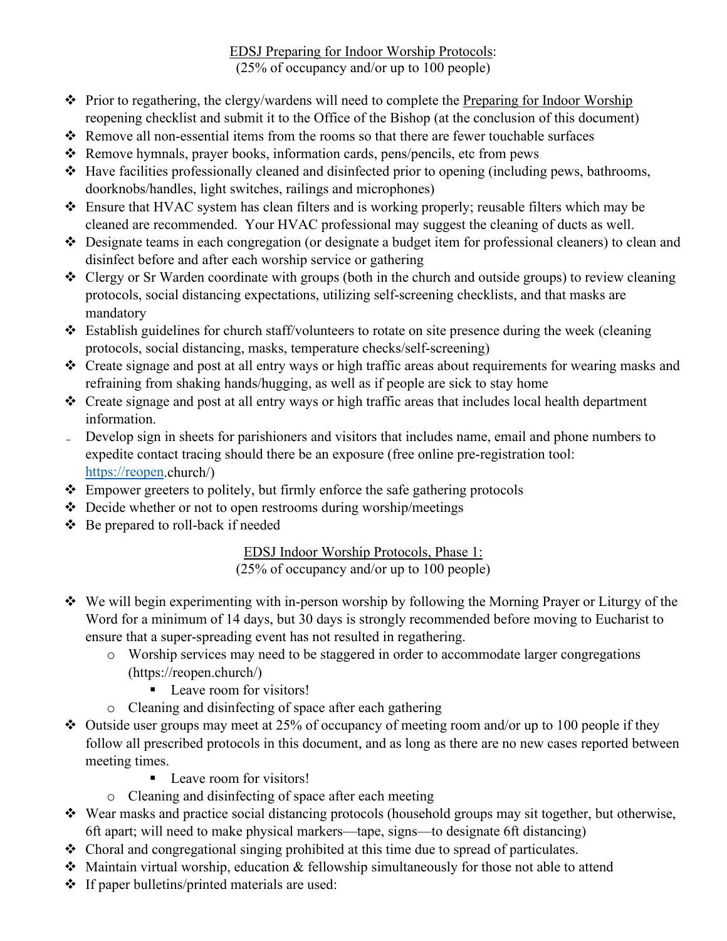EDSJ Preparing for Indoor Worship Protocols: (25% of occupancy and/or up to 100 people)

- Prior to regathering, the clergy/wardens will need to complete the Preparing for Indoor Worship reopening checklist and submit it to the Office of the Bishop (at the conclusion of this document)
- Remove all non-essential items from the rooms so that there are fewer touchable surfaces
- Remove hymnals, prayer books, information cards, pens/pencils, etc from pews
- $\triangle$  Have facilities professionally cleaned and disinfected prior to opening (including pews, bathrooms, doorknobs/handles, light switches, railings and microphones)
- Ensure that HVAC system has clean filters and is working properly; reusable filters which may be cleaned are recommended. Your HVAC professional may suggest the cleaning of ducts as well.
- Designate teams in each congregation (or designate a budget item for professional cleaners) to clean and disinfect before and after each worship service or gathering
- Clergy or Sr Warden coordinate with groups (both in the church and outside groups) to review cleaning protocols, social distancing expectations, utilizing self-screening checklists, and that masks are mandatory
- Establish guidelines for church staff/volunteers to rotate on site presence during the week (cleaning protocols, social distancing, masks, temperature checks/self-screening)
- Create signage and post at all entry ways or high traffic areas about requirements for wearing masks and refraining from shaking hands/hugging, as well as if people are sick to stay home
- \* Create signage and post at all entry ways or high traffic areas that includes local health department information.
- ˗ Develop sign in sheets for parishioners and visitors that includes name, email and phone numbers to expedite contact tracing should there be an exposure (free online pre-registration tool: [https://reopen.](https://reopen/)church/)
- Empower greeters to politely, but firmly enforce the safe gathering protocols
- Decide whether or not to open restrooms during worship/meetings
- Be prepared to roll-back if needed

EDSJ Indoor Worship Protocols, Phase 1: (25% of occupancy and/or up to 100 people)

- We will begin experimenting with in-person worship by following the Morning Prayer or Liturgy of the Word for a minimum of 14 days, but 30 days is strongly recommended before moving to Eucharist to ensure that a super-spreading event has not resulted in regathering.
	- o Worship services may need to be staggered in order to accommodate larger congregations (https://reopen.church/)
		- **Leave room for visitors!**
	- o Cleaning and disinfecting of space after each gathering
- $\cdot$  Outside user groups may meet at 25% of occupancy of meeting room and/or up to 100 people if they follow all prescribed protocols in this document, and as long as there are no new cases reported between meeting times.
	- **Leave room for visitors!**
	- o Cleaning and disinfecting of space after each meeting
- Wear masks and practice social distancing protocols (household groups may sit together, but otherwise, 6ft apart; will need to make physical markers—tape, signs—to designate 6ft distancing)
- Choral and congregational singing prohibited at this time due to spread of particulates.
- Maintain virtual worship, education & fellowship simultaneously for those not able to attend
- If paper bulletins/printed materials are used: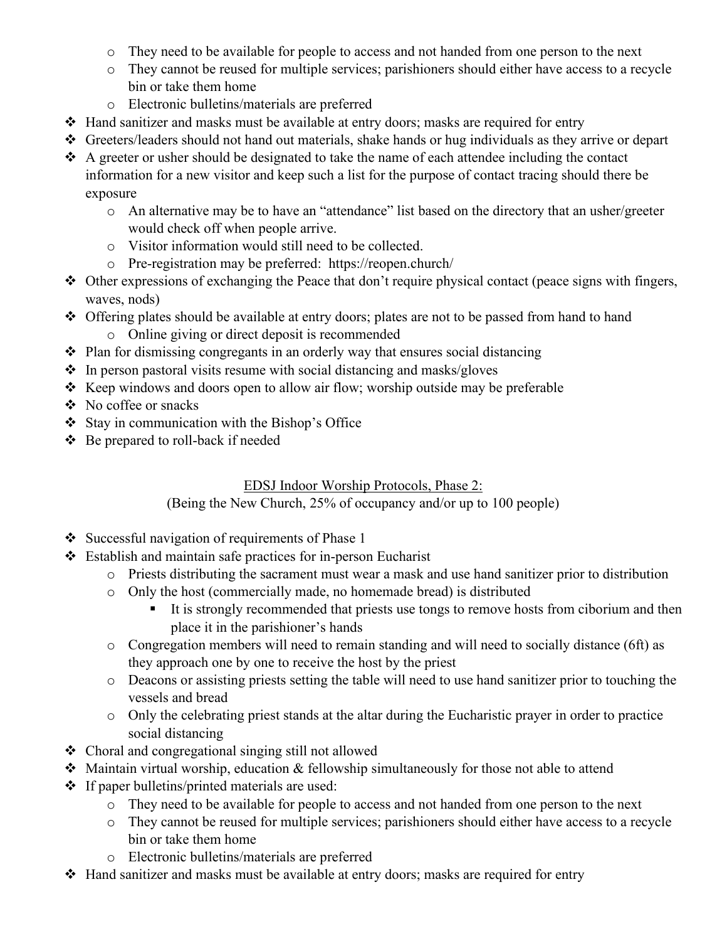- o They need to be available for people to access and not handed from one person to the next
- o They cannot be reused for multiple services; parishioners should either have access to a recycle bin or take them home
- o Electronic bulletins/materials are preferred
- $\triangleleft$  Hand sanitizer and masks must be available at entry doors; masks are required for entry
- Greeters/leaders should not hand out materials, shake hands or hug individuals as they arrive or depart
- $\triangle$  A greeter or usher should be designated to take the name of each attendee including the contact information for a new visitor and keep such a list for the purpose of contact tracing should there be exposure
	- o An alternative may be to have an "attendance" list based on the directory that an usher/greeter would check off when people arrive.
	- o Visitor information would still need to be collected.
	- o Pre-registration may be preferred: https://reopen.church/
- $\triangle$  Other expressions of exchanging the Peace that don't require physical contact (peace signs with fingers, waves, nods)
- Offering plates should be available at entry doors; plates are not to be passed from hand to hand o Online giving or direct deposit is recommended
- $\triangleleft$  Plan for dismissing congregants in an orderly way that ensures social distancing
- $\cdot \cdot$  In person pastoral visits resume with social distancing and masks/gloves
- $\triangleleft$  Keep windows and doors open to allow air flow; worship outside may be preferable
- No coffee or snacks
- $\div$  Stay in communication with the Bishop's Office
- Be prepared to roll-back if needed

### EDSJ Indoor Worship Protocols, Phase 2:

### (Being the New Church, 25% of occupancy and/or up to 100 people)

- $\div$  Successful navigation of requirements of Phase 1
- Establish and maintain safe practices for in-person Eucharist
	- o Priests distributing the sacrament must wear a mask and use hand sanitizer prior to distribution
	- o Only the host (commercially made, no homemade bread) is distributed
		- It is strongly recommended that priests use tongs to remove hosts from ciborium and then place it in the parishioner's hands
	- o Congregation members will need to remain standing and will need to socially distance (6ft) as they approach one by one to receive the host by the priest
	- o Deacons or assisting priests setting the table will need to use hand sanitizer prior to touching the vessels and bread
	- $\circ$  Only the celebrating priest stands at the altar during the Eucharistic prayer in order to practice social distancing
- Choral and congregational singing still not allowed
- Maintain virtual worship, education & fellowship simultaneously for those not able to attend
- $\cdot \cdot$  If paper bulletins/printed materials are used:
	- o They need to be available for people to access and not handed from one person to the next
	- o They cannot be reused for multiple services; parishioners should either have access to a recycle bin or take them home
	- o Electronic bulletins/materials are preferred
- Hand sanitizer and masks must be available at entry doors; masks are required for entry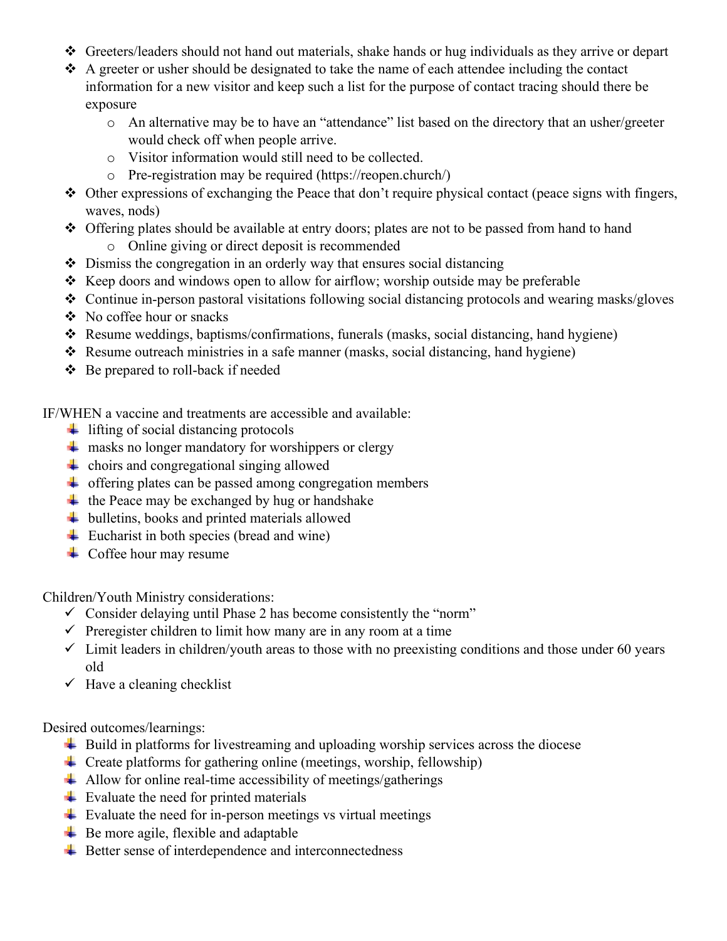- Greeters/leaders should not hand out materials, shake hands or hug individuals as they arrive or depart
- A greeter or usher should be designated to take the name of each attendee including the contact information for a new visitor and keep such a list for the purpose of contact tracing should there be exposure
	- o An alternative may be to have an "attendance" list based on the directory that an usher/greeter would check off when people arrive.
	- o Visitor information would still need to be collected.
	- o Pre-registration may be required (https://reopen.church/)
- $\triangle$  Other expressions of exchanging the Peace that don't require physical contact (peace signs with fingers, waves, nods)
- Offering plates should be available at entry doors; plates are not to be passed from hand to hand
	- o Online giving or direct deposit is recommended
- $\triangle$  Dismiss the congregation in an orderly way that ensures social distancing
- $\triangleleft$  Keep doors and windows open to allow for airflow; worship outside may be preferable
- Continue in-person pastoral visitations following social distancing protocols and wearing masks/gloves
- No coffee hour or snacks
- Resume weddings, baptisms/confirmations, funerals (masks, social distancing, hand hygiene)
- Resume outreach ministries in a safe manner (masks, social distancing, hand hygiene)
- Be prepared to roll-back if needed

IF/WHEN a vaccine and treatments are accessible and available:

- $\ddot{\phantom{1}}$  lifting of social distancing protocols
- $\perp$  masks no longer mandatory for worshippers or clergy
- $\overline{\phantom{a}}$  choirs and congregational singing allowed
- $\overline{\phantom{a}}$  offering plates can be passed among congregation members
- $\ddot{+}$  the Peace may be exchanged by hug or handshake
- $\overline{\phantom{a}}$  bulletins, books and printed materials allowed
- $\overline{\phantom{a}}$  Eucharist in both species (bread and wine)
- $\leftarrow$  Coffee hour may resume

Children/Youth Ministry considerations:

- $\checkmark$  Consider delaying until Phase 2 has become consistently the "norm"
- $\checkmark$  Preregister children to limit how many are in any room at a time
- $\checkmark$  Limit leaders in children/youth areas to those with no preexisting conditions and those under 60 years old
- $\checkmark$  Have a cleaning checklist

Desired outcomes/learnings:

- **↓** Build in platforms for livestreaming and uploading worship services across the diocese
- $\overline{\phantom{a}}$  Create platforms for gathering online (meetings, worship, fellowship)
- $\overline{\phantom{a}}$  Allow for online real-time accessibility of meetings/gatherings
- $\overline{\phantom{a}}$  Evaluate the need for printed materials
- $\overline{\phantom{a}}$  Evaluate the need for in-person meetings vs virtual meetings
- $\overline{\phantom{a}}$  Be more agile, flexible and adaptable
- $\overline{\phantom{a}}$  Better sense of interdependence and interconnectedness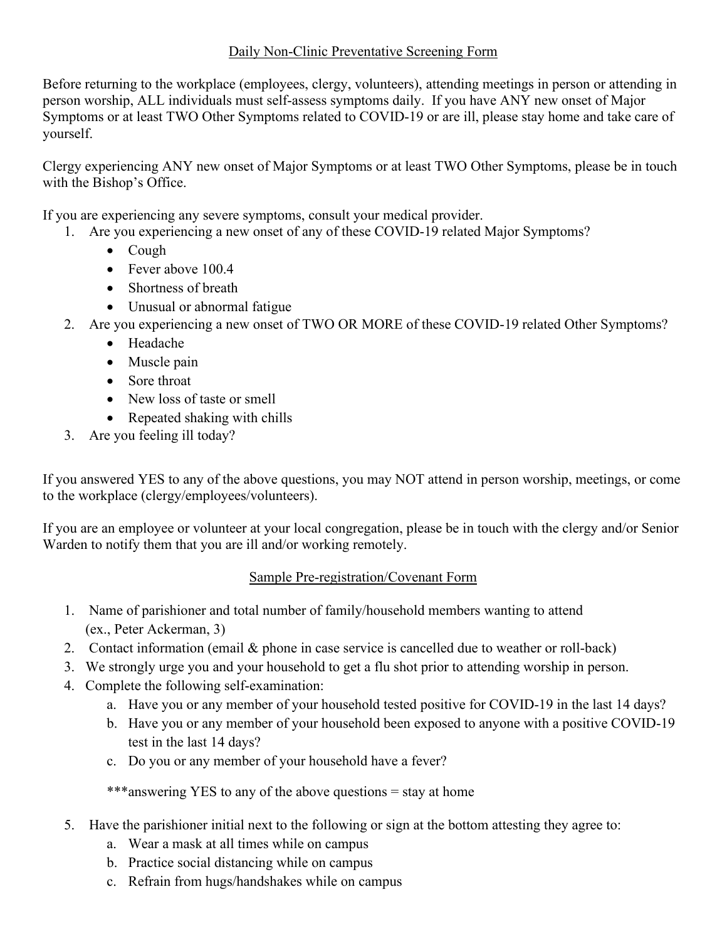#### Daily Non-Clinic Preventative Screening Form

Before returning to the workplace (employees, clergy, volunteers), attending meetings in person or attending in person worship, ALL individuals must self-assess symptoms daily. If you have ANY new onset of Major Symptoms or at least TWO Other Symptoms related to COVID-19 or are ill, please stay home and take care of yourself.

Clergy experiencing ANY new onset of Major Symptoms or at least TWO Other Symptoms, please be in touch with the Bishop's Office.

If you are experiencing any severe symptoms, consult your medical provider.

- 1. Are you experiencing a new onset of any of these COVID-19 related Major Symptoms?
	- Cough
	- Fever above 100.4
	- Shortness of breath
	- Unusual or abnormal fatigue
- 2. Are you experiencing a new onset of TWO OR MORE of these COVID-19 related Other Symptoms?
	- Headache
	- Muscle pain
	- Sore throat
	- New loss of taste or smell
	- Repeated shaking with chills
- 3. Are you feeling ill today?

If you answered YES to any of the above questions, you may NOT attend in person worship, meetings, or come to the workplace (clergy/employees/volunteers).

If you are an employee or volunteer at your local congregation, please be in touch with the clergy and/or Senior Warden to notify them that you are ill and/or working remotely.

## Sample Pre-registration/Covenant Form

- 1. Name of parishioner and total number of family/household members wanting to attend (ex., Peter Ackerman, 3)
- 2. Contact information (email & phone in case service is cancelled due to weather or roll-back)
- 3. We strongly urge you and your household to get a flu shot prior to attending worship in person.
- 4. Complete the following self-examination:
	- a. Have you or any member of your household tested positive for COVID-19 in the last 14 days?
	- b. Have you or any member of your household been exposed to anyone with a positive COVID-19 test in the last 14 days?
	- c. Do you or any member of your household have a fever?

\*\*\*answering YES to any of the above questions = stay at home

- 5. Have the parishioner initial next to the following or sign at the bottom attesting they agree to:
	- a. Wear a mask at all times while on campus
	- b. Practice social distancing while on campus
	- c. Refrain from hugs/handshakes while on campus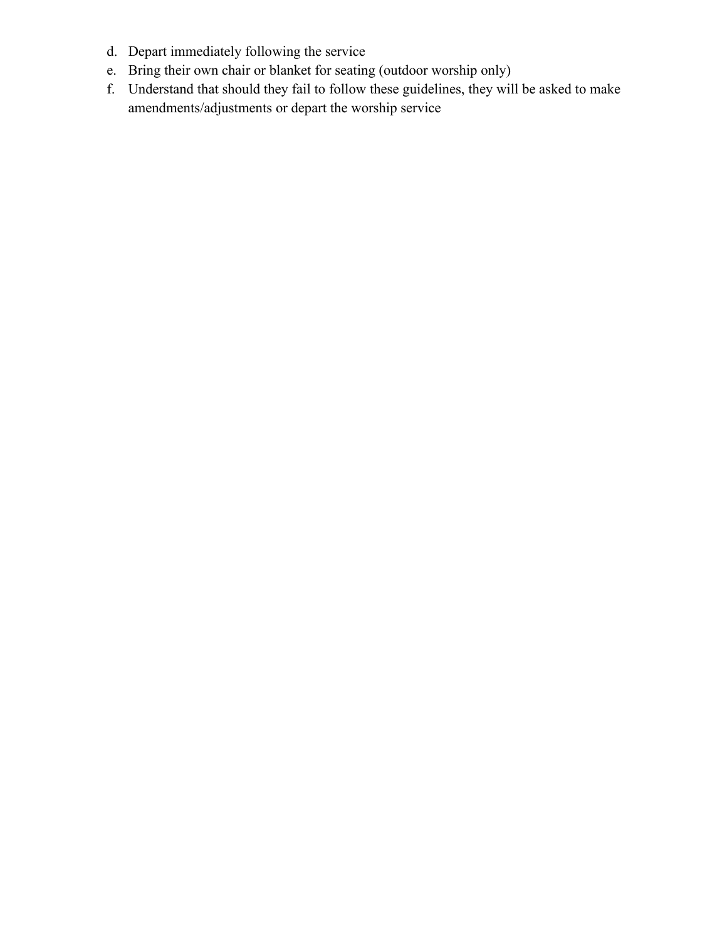- d. Depart immediately following the service
- e. Bring their own chair or blanket for seating (outdoor worship only)
- f. Understand that should they fail to follow these guidelines, they will be asked to make amendments/adjustments or depart the worship service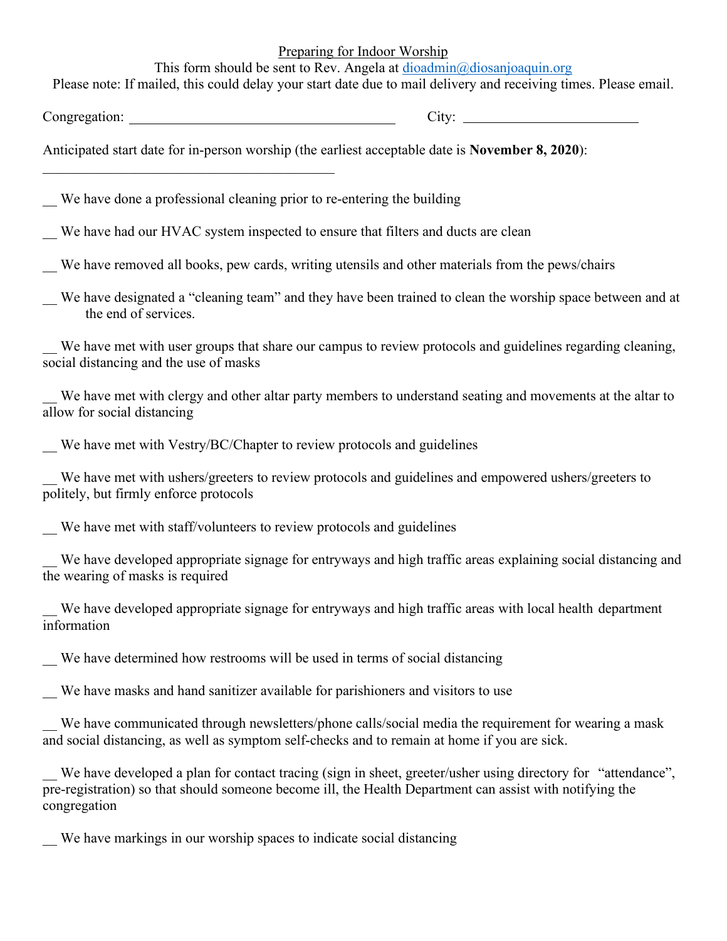Preparing for Indoor Worship

This form should be sent to Rev. Angela at [dioadmin@diosanjoaquin.org](mailto:dioadmin@diosanjoaquin.org)

Please note: If mailed, this could delay your start date due to mail delivery and receiving times. Please email.

Congregation: City:

Anticipated start date for in-person worship (the earliest acceptable date is **November 8, 2020**):

\_\_ We have done a professional cleaning prior to re-entering the building

We have had our HVAC system inspected to ensure that filters and ducts are clean

\_\_ We have removed all books, pew cards, writing utensils and other materials from the pews/chairs

We have designated a "cleaning team" and they have been trained to clean the worship space between and at the end of services.

We have met with user groups that share our campus to review protocols and guidelines regarding cleaning, social distancing and the use of masks

We have met with clergy and other altar party members to understand seating and movements at the altar to allow for social distancing

We have met with Vestry/BC/Chapter to review protocols and guidelines

We have met with ushers/greeters to review protocols and guidelines and empowered ushers/greeters to politely, but firmly enforce protocols

We have met with staff/volunteers to review protocols and guidelines

We have developed appropriate signage for entryways and high traffic areas explaining social distancing and the wearing of masks is required

We have developed appropriate signage for entryways and high traffic areas with local health department information

We have determined how restrooms will be used in terms of social distancing

We have masks and hand sanitizer available for parishioners and visitors to use

We have communicated through newsletters/phone calls/social media the requirement for wearing a mask and social distancing, as well as symptom self-checks and to remain at home if you are sick.

We have developed a plan for contact tracing (sign in sheet, greeter/usher using directory for "attendance", pre-registration) so that should someone become ill, the Health Department can assist with notifying the congregation

\_\_ We have markings in our worship spaces to indicate social distancing